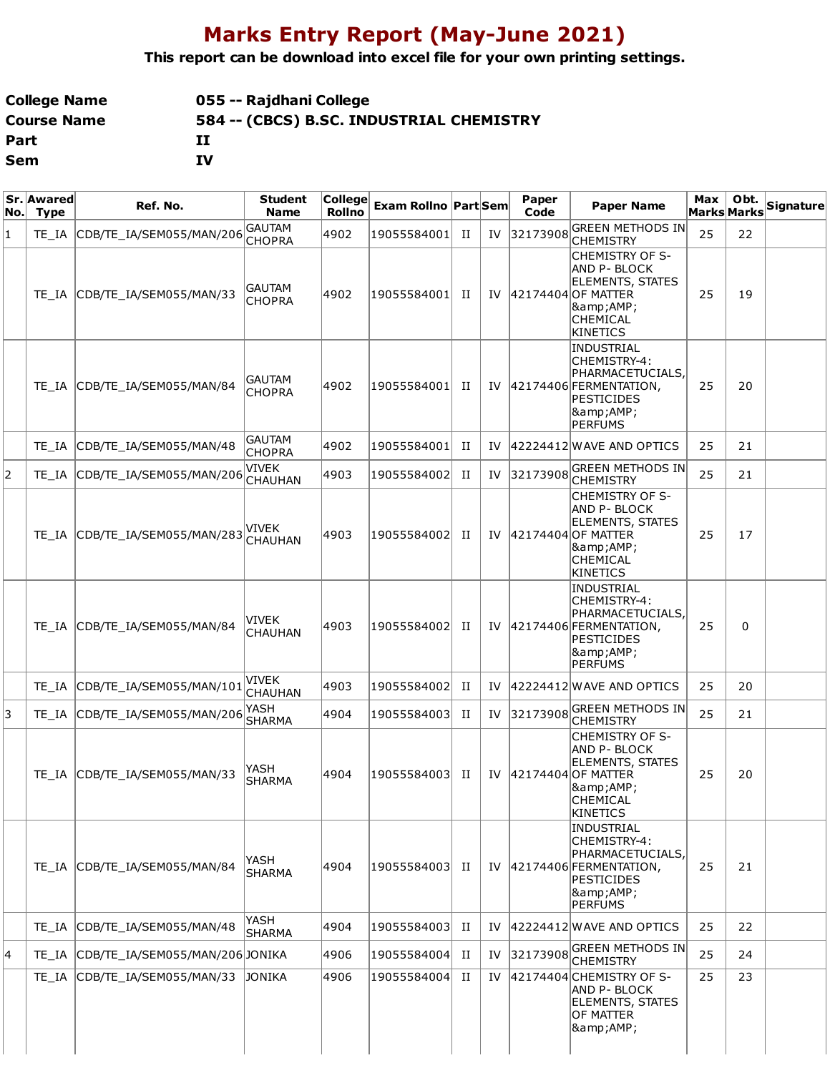## **Marks Entry Report (May-June 2021)**

**This report can be download into excel file for your own printing settings.**

| College Name | 055 -- Rajdhani College                  |
|--------------|------------------------------------------|
| Course Name  | 584 -- (CBCS) B.SC. INDUSTRIAL CHEMISTRY |
| Part         | п                                        |
| Sem          | IV                                       |

| No.l | Sr. Awared<br><b>Type</b> | Ref. No.                       | <b>Student</b><br><b>Name</b>  | $ $ College $ $<br>Rollno | <b>Exam Rollno Part Sem</b> |   |    | Paper<br>Code | <b>Paper Name</b>                                                                                                             | Max<br>Marks Marks | Obt. | Signature |
|------|---------------------------|--------------------------------|--------------------------------|---------------------------|-----------------------------|---|----|---------------|-------------------------------------------------------------------------------------------------------------------------------|--------------------|------|-----------|
| 1    | TE IA                     | CDB/TE IA/SEM055/MAN/206       | <b>GAUTAM</b><br><b>CHOPRA</b> | 4902                      | 19055584001                 | П | IV | 32173908      | GREEN METHODS IN<br><b>CHEMISTRY</b>                                                                                          | 25                 | 22   |           |
|      | TE IA                     | CDB/TE_IA/SEM055/MAN/33        | <b>GAUTAM</b><br><b>CHOPRA</b> | 4902                      | 19055584001                 | H | IV |               | CHEMISTRY OF S-<br>AND P- BLOCK<br><b>ELEMENTS, STATES</b><br>42174404 OF MATTER<br>&<br><b>CHEMICAL</b><br><b>KINETICS</b>   | 25                 | 19   |           |
|      |                           | TE_IA CDB/TE_IA/SEM055/MAN/84  | <b>GAUTAM</b><br><b>CHOPRA</b> | 4902                      | 19055584001                 | H | IV |               | INDUSTRIAL<br>CHEMISTRY-4:<br>PHARMACETUCIALS,<br>42174406 FERMENTATION,<br>PESTICIDES<br> &<br>PERFUMS                       | 25                 | 20   |           |
|      | TE IA                     | CDB/TE_IA/SEM055/MAN/48        | <b>GAUTAM</b><br><b>CHOPRA</b> | 4902                      | 19055584001                 | П | IV |               | $ 42224412 $ WAVE AND OPTICS                                                                                                  | 25                 | 21   |           |
| 2    | TE IA                     | CDB/TE_IA/SEM055/MAN/206       | VIVEK<br><b>CHAUHAN</b>        | 4903                      | 19055584002                 | П | IV | 32173908      | <b>GREEN METHODS IN</b><br><b>CHEMISTRY</b>                                                                                   | 25                 | 21   |           |
|      |                           | TE IA CDB/TE IA/SEM055/MAN/283 | VIVEK<br>CHAUHAN               | 4903                      | 19055584002                 | П | IV |               | <b>CHEMISTRY OF S-</b><br> AND P- BLOCK<br>ELEMENTS, STATES<br>42174404 OF MATTER<br> &<br><b>CHEMICAL</b><br><b>KINETICS</b> | 25                 | 17   |           |
|      | TE IA                     | CDB/TE_IA/SEM055/MAN/84        | VIVEK<br><b>CHAUHAN</b>        | 4903                      | 19055584002                 | П | IV |               | INDUSTRIAL<br>CHEMISTRY-4:<br> PHARMACETUCIALS,<br>42174406 FERMENTATION,<br>PESTICIDES<br><b>&amp;AMP;</b><br><b>PERFUMS</b> | 25                 | 0    |           |
|      | TE IA                     | CDB/TE_IA/SEM055/MAN/101       | VIVEK<br><b>CHAUHAN</b>        | 4903                      | 19055584002                 | П | IV |               | 42224412 WAVE AND OPTICS                                                                                                      | 25                 | 20   |           |
| 3    | TE IA                     | CDB/TE_IA/SEM055/MAN/206       | YASH<br><b>SHARMA</b>          | 4904                      | 19055584003                 | П | IV | 32173908      | GREEN METHODS IN<br><b>CHEMISTRY</b>                                                                                          | 25                 | 21   |           |
|      | TE IA                     | CDB/TE IA/SEM055/MAN/33        | YASH<br>SHARMA                 | 4904                      | 19055584003                 | П | IV |               | <b>CHEMISTRY OF S-</b><br>AND P- BLOCK<br><b>ELEMENTS, STATES</b><br>42174404 OF MATTER<br>&<br>CHEMICAL<br><b>KINETICS</b>   | 25                 | 20   |           |
|      |                           | TE IA CDB/TE IA/SEM055/MAN/84  | YASH<br><b>SHARMA</b>          | 4904                      | 19055584003                 | П | IV |               | <b>INDUSTRIAL</b><br>CHEMISTRY-4:<br>PHARMACETUCIALS.<br>42174406 FERMENTATION,<br>PESTICIDES<br> &<br>PERFUMS                | 25                 | 21   |           |
|      | TE IA                     | CDB/TE_IA/SEM055/MAN/48        | YASH<br>SHARMA                 | 4904                      | 19055584003                 | П | IV |               | 42224412 WAVE AND OPTICS                                                                                                      | 25                 | 22   |           |
| 4    | TE IA                     | CDB/TE IA/SEM055/MAN/206JONIKA |                                | 4906                      | 19055584004                 | П | IV | 32173908      | <b>GREEN METHODS IN</b><br><b>CHEMISTRY</b>                                                                                   | 25                 | 24   |           |
|      | TE IA                     | CDB/TE_IA/SEM055/MAN/33        | <b>JONIKA</b>                  | 4906                      | 19055584004                 | П | IV |               | 42174404 CHEMISTRY OF S-<br>AND P- BLOCK<br><b>ELEMENTS, STATES</b><br><b>OF MATTER</b><br><b>&amp;AMP;</b>                   | 25                 | 23   |           |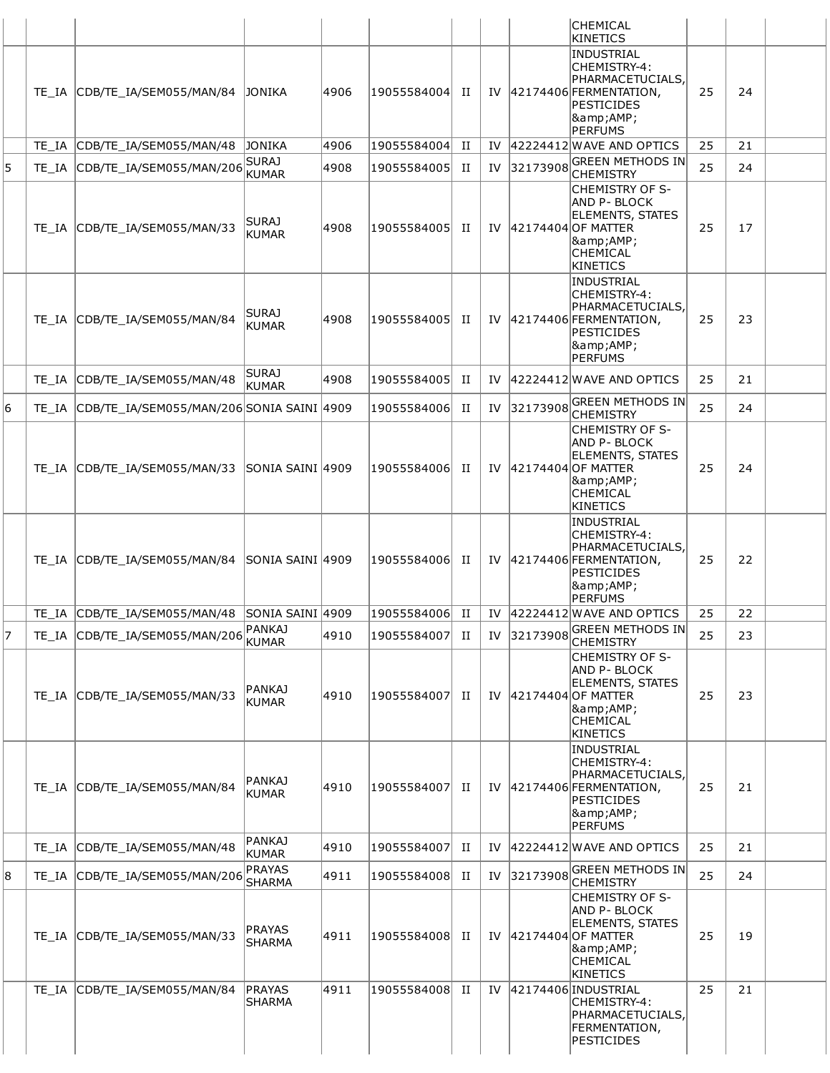|   |       |                                                 |                                |      |             |             |    |          | <b>CHEMICAL</b>                                                                                                                                        |    |    |  |
|---|-------|-------------------------------------------------|--------------------------------|------|-------------|-------------|----|----------|--------------------------------------------------------------------------------------------------------------------------------------------------------|----|----|--|
|   |       |                                                 |                                |      |             |             |    |          | KINETICS<br>INDUSTRIAL                                                                                                                                 |    |    |  |
|   |       | TE_IA CDB/TE_IA/SEM055/MAN/84                   | JONIKA                         | 4906 | 19055584004 | H           |    |          | CHEMISTRY-4:<br>PHARMACETUCIALS,<br>IV 42174406 FERMENTATION,<br>PESTICIDES<br> &<br>PERFUMS                                                           | 25 | 24 |  |
|   |       | TE_IA CDB/TE_IA/SEM055/MAN/48                   | JONIKA                         | 4906 | 19055584004 | П           | IV |          | 42224412 WAVE AND OPTICS                                                                                                                               | 25 | 21 |  |
| 5 |       | TE_IA CDB/TE_IA/SEM055/MAN/206                  | <b>SURAJ</b><br><b>KUMAR</b>   | 4908 | 19055584005 | П           | IV | 32173908 | <b>GREEN METHODS IN</b>                                                                                                                                | 25 | 24 |  |
|   |       | TE_IA CDB/TE_IA/SEM055/MAN/33                   | <b>SURAJ</b><br><b>KUMAR</b>   | 4908 | 19055584005 | П           | IV |          | <b>CHEMISTRY</b><br><b>CHEMISTRY OF S-</b><br><b>AND P-BLOCK</b><br><b>ELEMENTS, STATES</b><br>42174404 OF MATTER<br> &<br><b>CHEMICAL</b><br>KINETICS | 25 | 17 |  |
|   |       | TE IA CDB/TE IA/SEM055/MAN/84                   | <b>SURAJ</b><br>KUMAR          | 4908 | 19055584005 | П           |    |          | INDUSTRIAL<br>CHEMISTRY-4:<br>PHARMACETUCIALS,<br>IV   42174406 FERMENTATION,<br>PESTICIDES<br> &<br>PERFUMS                                           | 25 | 23 |  |
|   |       | TE IA CDB/TE IA/SEM055/MAN/48                   | <b>SURAJ</b><br>KUMAR          | 4908 | 19055584005 | П           |    |          | IV 42224412 WAVE AND OPTICS                                                                                                                            | 25 | 21 |  |
| 6 |       | TE_IA CDB/TE_IA/SEM055/MAN/206 SONIA SAINI 4909 |                                |      | 19055584006 | П           | IV | 32173908 | <b>GREEN METHODS IN</b><br><b>CHEMISTRY</b>                                                                                                            | 25 | 24 |  |
|   |       | TE_IA CDB/TE_IA/SEM055/MAN/33                   | <b>SONIA SAINI 4909</b>        |      | 19055584006 | п           |    |          | <b>CHEMISTRY OF S-</b><br><b>AND P- BLOCK</b><br><b>ELEMENTS, STATES</b><br>IV 42174404 OF MATTER<br> &<br><b>CHEMICAL</b><br>KINETICS                 | 25 | 24 |  |
|   |       | TE_IA CDB/TE_IA/SEM055/MAN/84                   | SONIA SAINI 4909               |      | 19055584006 | п           |    |          | INDUSTRIAL<br>CHEMISTRY-4:<br>PHARMACETUCIALS,<br>IV   42174406   FERMENTATION,<br>PESTICIDES<br> &<br>PERFUMS                                         | 25 | 22 |  |
|   |       | TE_IA CDB/TE_IA/SEM055/MAN/48 SONIA SAINI 4909  |                                |      | 19055584006 | H           |    |          | IV 42224412 WAVE AND OPTICS                                                                                                                            | 25 | 22 |  |
| 7 |       | TE_IA CDB/TE_IA/SEM055/MAN/206                  | PANKAJ<br><b>KUMAR</b>         | 4910 | 19055584007 | П           | IV | 32173908 | <b>GREEN METHODS IN</b><br><b>CHEMISTRY</b>                                                                                                            | 25 | 23 |  |
|   |       | TE_IA CDB/TE_IA/SEM055/MAN/33                   | <b>PANKAJ</b><br>KUMAR         | 4910 | 19055584007 | П           | IV |          | <b>CHEMISTRY OF S-</b><br>AND P- BLOCK<br><b>ELEMENTS, STATES</b><br>42174404 OF MATTER<br> &<br><b>CHEMICAL</b><br>KINETICS                           | 25 | 23 |  |
|   |       | TE_IA CDB/TE_IA/SEM055/MAN/84                   | PANKAJ<br>KUMAR                | 4910 | 19055584007 | П           | IV |          | INDUSTRIAL<br>CHEMISTRY-4:<br>PHARMACETUCIALS,<br>42174406 FERMENTATION,<br>PESTICIDES<br> &<br>PERFUMS                                                | 25 | 21 |  |
|   | TE IA | CDB/TE_IA/SEM055/MAN/48                         | <b>PANKAJ</b><br>KUMAR         | 4910 | 19055584007 | П           | IV |          | 42224412 WAVE AND OPTICS                                                                                                                               | 25 | 21 |  |
| 8 |       | TE_IA CDB/TE_IA/SEM055/MAN/206                  | PRAYAS<br>SHARMA               | 4911 | 19055584008 | H           | IV | 32173908 | <b>GREEN METHODS IN</b><br><b>CHEMISTRY</b>                                                                                                            | 25 | 24 |  |
|   |       | TE_IA CDB/TE_IA/SEM055/MAN/33                   | <b>PRAYAS</b><br><b>SHARMA</b> | 4911 | 19055584008 | П           | IV |          | CHEMISTRY OF S-<br>AND P- BLOCK<br><b>ELEMENTS, STATES</b><br>42174404 OF MATTER<br> &<br>CHEMICAL<br>KINETICS                                         | 25 | 19 |  |
|   | TE IA | CDB/TE_IA/SEM055/MAN/84                         | PRAYAS<br><b>SHARMA</b>        | 4911 | 19055584008 | $_{\rm II}$ | IV |          | 42174406 INDUSTRIAL<br>CHEMISTRY-4:<br>PHARMACETUCIALS,<br>FERMENTATION,<br>PESTICIDES                                                                 | 25 | 21 |  |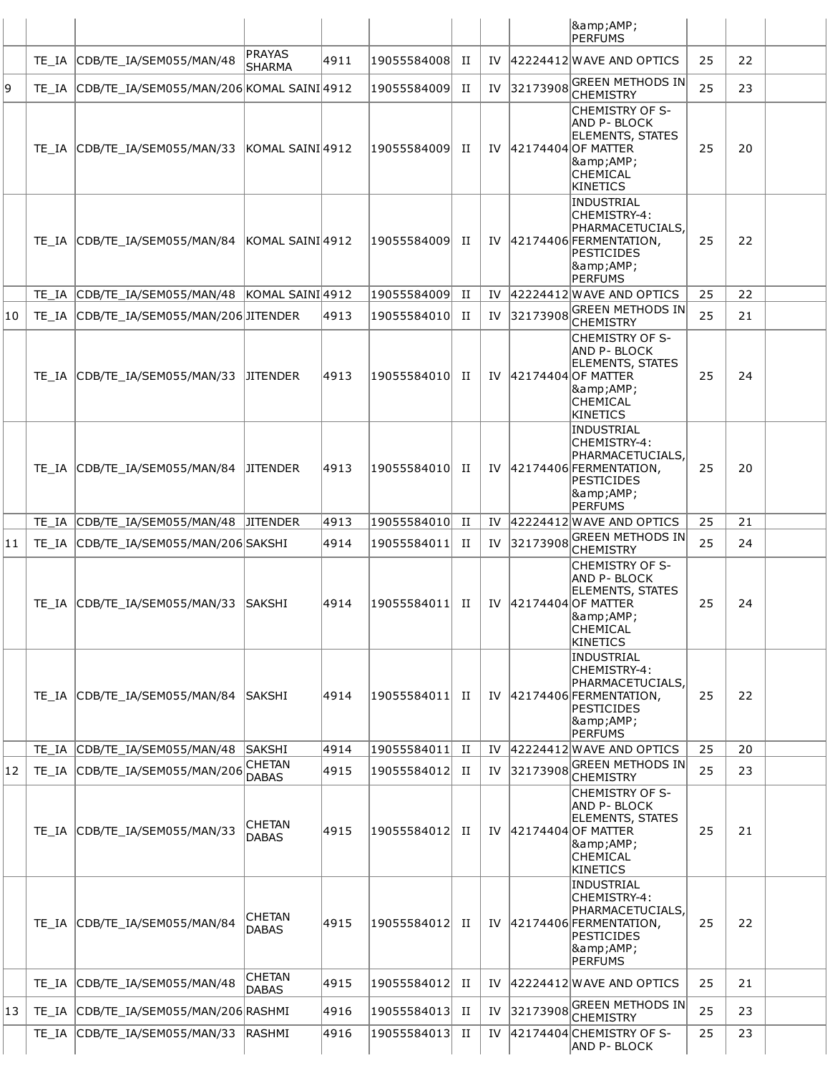|    |       |                                                |                               |      |             |             |     |          | &<br><b>PERFUMS</b>                                                                                                                                     |    |    |  |
|----|-------|------------------------------------------------|-------------------------------|------|-------------|-------------|-----|----------|---------------------------------------------------------------------------------------------------------------------------------------------------------|----|----|--|
|    |       | TE_IA CDB/TE_IA/SEM055/MAN/48                  | <b>PRAYAS</b><br>SHARMA       | 4911 | 19055584008 | П           | IV  |          | 42224412 WAVE AND OPTICS                                                                                                                                | 25 | 22 |  |
| 9  | TE IA | CDB/TE IA/SEM055/MAN/206 KOMAL SAINI 4912      |                               |      | 19055584009 | П           | IV  | 32173908 | <b>GREEN METHODS IN</b><br><b>CHEMISTRY</b>                                                                                                             | 25 | 23 |  |
|    |       | TE_IA CDB/TE_IA/SEM055/MAN/33 KOMAL SAINI 4912 |                               |      | 19055584009 | П           | IV  |          | <b>CHEMISTRY OF S-</b><br><b>AND P-BLOCK</b><br><b>ELEMENTS, STATES</b><br>42174404 OF MATTER<br><b>&amp;AMP;</b><br><b>CHEMICAL</b><br>KINETICS        | 25 | 20 |  |
|    |       | TE_IA CDB/TE_IA/SEM055/MAN/84                  | KOMAL SAINI4912               |      | 19055584009 | П           | IV  |          | <b>INDUSTRIAL</b><br>CHEMISTRY-4:<br>PHARMACETUCIALS,<br>$ 42174406 $ FERMENTATION,<br><b>PESTICIDES</b><br>&<br><b>PERFUMS</b>                         | 25 | 22 |  |
|    | TE IA | CDB/TE_IA/SEM055/MAN/48 KOMAL SAINI 4912       |                               |      | 19055584009 | П           | IV  |          | 42224412 WAVE AND OPTICS                                                                                                                                | 25 | 22 |  |
| 10 | TE IA | CDB/TE_IA/SEM055/MAN/206JITENDER               |                               | 4913 | 19055584010 | П           | IV  | 32173908 | <b>GREEN METHODS IN</b><br><b>CHEMISTRY</b>                                                                                                             | 25 | 21 |  |
|    |       | TE_IA CDB/TE_IA/SEM055/MAN/33                  | <b>JITENDER</b>               | 4913 | 19055584010 | П           | IV  |          | <b>CHEMISTRY OF S-</b><br><b>AND P-BLOCK</b><br><b>ELEMENTS, STATES</b><br>42174404 OF MATTER<br><b>&amp;AMP;</b><br><b>CHEMICAL</b><br><b>KINETICS</b> | 25 | 24 |  |
|    |       | TE_IA CDB/TE_IA/SEM055/MAN/84                  | <b>JITENDER</b>               | 4913 | 19055584010 | П           | IV  |          | <b>INDUSTRIAL</b><br>CHEMISTRY-4:<br>PHARMACETUCIALS,<br>42174406 FERMENTATION,<br><b>PESTICIDES</b><br>&<br><b>PERFUMS</b>                             | 25 | 20 |  |
|    |       | TE_IA CDB/TE_IA/SEM055/MAN/48                  | <b>JITENDER</b>               | 4913 | 19055584010 | П           | IV  |          | 42224412 WAVE AND OPTICS                                                                                                                                | 25 | 21 |  |
| 11 | TE IA | CDB/TE_IA/SEM055/MAN/206 SAKSHI                |                               | 4914 | 19055584011 | П           | IV  | 32173908 | <b>GREEN METHODS IN</b><br><b>CHEMISTRY</b>                                                                                                             | 25 | 24 |  |
|    |       | TE_IA CDB/TE_IA/SEM055/MAN/33                  | <b>SAKSHI</b>                 | 4914 | 19055584011 | П           | IV  |          | <b>CHEMISTRY OF S-</b><br>AND P- BLOCK<br><b>ELEMENTS, STATES</b><br>42174404 OF MATTER<br> &<br><b>CHEMICAL</b><br><b>KINETICS</b>                     | 25 | 24 |  |
|    | TE IA | CDB/TE_IA/SEM055/MAN/84                        | SAKSHI                        | 4914 | 19055584011 | П           | IV  |          | <b>INDUSTRIAL</b><br>CHEMISTRY-4:<br>PHARMACETUCIALS,<br>42174406 FERMENTATION,<br><b>PESTICIDES</b><br>&<br><b>PERFUMS</b>                             | 25 | 22 |  |
|    |       | TE_IA CDB/TE_IA/SEM055/MAN/48                  | <b>SAKSHI</b>                 | 4914 | 19055584011 | П           | IV  |          | 42224412 WAVE AND OPTICS                                                                                                                                | 25 | 20 |  |
| 12 | TE IA | CDB/TE IA/SEM055/MAN/206                       | <b>CHETAN</b><br><b>DABAS</b> | 4915 | 19055584012 | П           | IV  | 32173908 | <b>GREEN METHODS IN</b><br><b>CHEMISTRY</b>                                                                                                             | 25 | 23 |  |
|    |       | TE_IA CDB/TE_IA/SEM055/MAN/33                  | <b>CHETAN</b><br><b>DABAS</b> | 4915 | 19055584012 | H           | IV  |          | <b>CHEMISTRY OF S-</b><br>AND P-BLOCK<br><b>ELEMENTS, STATES</b><br>42174404 OF MATTER<br>&<br>CHEMICAL<br>KINETICS                                     | 25 | 21 |  |
|    |       | TE_IA CDB/TE_IA/SEM055/MAN/84                  | CHETAN<br><b>DABAS</b>        | 4915 | 19055584012 | п           | IV  |          | <b>INDUSTRIAL</b><br>CHEMISTRY-4:<br>PHARMACETUCIALS,<br>$ 42174406 $ FERMENTATION,<br><b>PESTICIDES</b><br>&<br><b>PERFUMS</b>                         | 25 | 22 |  |
|    | TE IA | CDB/TE_IA/SEM055/MAN/48                        | <b>CHETAN</b><br><b>DABAS</b> | 4915 | 19055584012 | П           | IV  |          | 42224412 WAVE AND OPTICS                                                                                                                                | 25 | 21 |  |
| 13 |       | TE_IA CDB/TE_IA/SEM055/MAN/206 RASHMI          |                               | 4916 | 19055584013 | П           | IV  | 32173908 | <b>GREEN METHODS IN</b><br><b>CHEMISTRY</b>                                                                                                             | 25 | 23 |  |
|    | TE IA | CDB/TE_IA/SEM055/MAN/33                        | <b>RASHMI</b>                 | 4916 | 19055584013 | $_{\rm II}$ | IV. |          | 42174404 CHEMISTRY OF S-<br><b>AND P- BLOCK</b>                                                                                                         | 25 | 23 |  |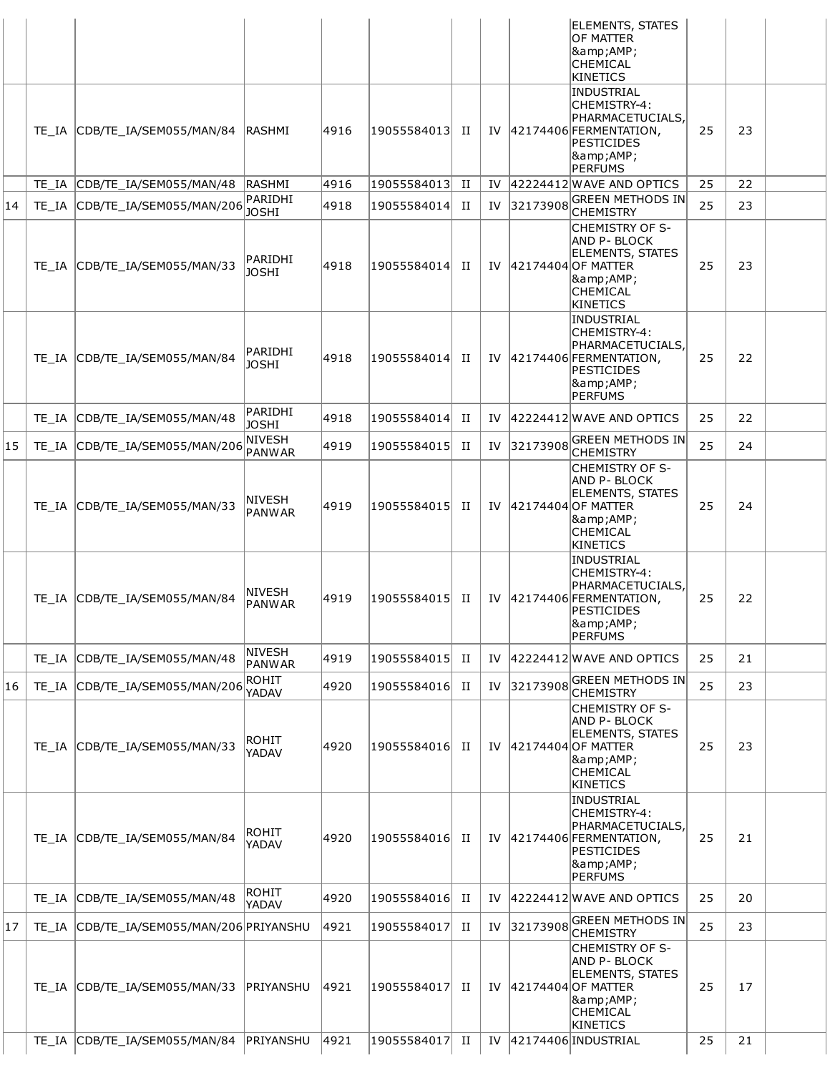|    |       |                                    |                         |      |                 |             |     |          | <b>ELEMENTS, STATES</b><br><b>OF MATTER</b><br> &<br><b>CHEMICAL</b><br>KINETICS                                                        |    |    |  |
|----|-------|------------------------------------|-------------------------|------|-----------------|-------------|-----|----------|-----------------------------------------------------------------------------------------------------------------------------------------|----|----|--|
|    |       | TE IA CDB/TE IA/SEM055/MAN/84      | <b>IRASHMI</b>          | 4916 | 19055584013 II  |             | IV  |          | INDUSTRIAL<br>CHEMISTRY-4:<br>PHARMACETUCIALS,<br>$ 42174406 $ FERMENTATION,<br><b>PESTICIDES</b><br><b>&amp;AMP;</b><br><b>PERFUMS</b> | 25 | 23 |  |
|    |       | TE_IA CDB/TE_IA/SEM055/MAN/48      | RASHMI                  | 4916 | 19055584013  II |             | IV  |          | 42224412 WAVE AND OPTICS                                                                                                                | 25 | 22 |  |
| 14 |       | TE IA CDB/TE IA/SEM055/MAN/206     | PARIDHI<br><b>JOSHI</b> | 4918 | 19055584014     | П           | IV  | 32173908 | <b>GREEN METHODS IN</b><br><b>CHEMISTRY</b>                                                                                             | 25 | 23 |  |
|    |       | TE IA CDB/TE IA/SEM055/MAN/33      | PARIDHI<br><b>JOSHI</b> | 4918 | 19055584014     | П           | IV  |          | ICHEMISTRY OF S-<br><b>AND P-BLOCK</b><br><b>ELEMENTS, STATES</b><br>42174404 OF MATTER<br> &<br><b>CHEMICAL</b><br>KINETICS            | 25 | 23 |  |
|    |       | TE IA CDB/TE IA/SEM055/MAN/84      | PARIDHI<br><b>JOSHI</b> | 4918 | 19055584014     | H           | IV  |          | INDUSTRIAL<br>CHEMISTRY-4:<br>PHARMACETUCIALS,<br>42174406 FERMENTATION,<br><b>PESTICIDES</b><br> &<br>PERFUMS                          | 25 | 22 |  |
|    |       | TE_IA CDB/TE_IA/SEM055/MAN/48      | PARIDHI<br><b>JOSHI</b> | 4918 | 19055584014     | П           | IV  |          | 42224412 WAVE AND OPTICS                                                                                                                | 25 | 22 |  |
| 15 |       | TE_IA CDB/TE_IA/SEM055/MAN/206     | NIVESH<br><b>PANWAR</b> | 4919 | 19055584015     | П           | IV  | 32173908 | <b>GREEN METHODS IN</b><br><b>CHEMISTRY</b>                                                                                             | 25 | 24 |  |
|    |       | TE_IA CDB/TE_IA/SEM055/MAN/33      | <b>NIVESH</b><br>PANWAR | 4919 | 19055584015     | H           | IV  |          | ICHEMISTRY OF S-<br><b>AND P-BLOCK</b><br><b>ELEMENTS, STATES</b><br>42174404 OF MATTER<br> &<br><b>CHEMICAL</b><br>KINETICS            | 25 | 24 |  |
|    |       | TE IA CDB/TE IA/SEM055/MAN/84      | NIVESH<br><b>PANWAR</b> | 4919 | 19055584015  II |             | IV  |          | INDUSTRIAL<br>CHEMISTRY-4:<br>PHARMACETUCIALS,<br>42174406 FERMENTATION,<br>PESTICIDES<br> &<br>PERFUMS                                 | 25 | 22 |  |
|    | TE IA | CDB/TE IA/SEM055/MAN/48            | NIVESH<br><b>PANWAR</b> | 4919 | 19055584015     | П           | IV  |          | 42224412 WAVE AND OPTICS                                                                                                                | 25 | 21 |  |
| 16 | TE IA | CDB/TE_IA/SEM055/MAN/206           | <b>ROHIT</b><br>YADAV   | 4920 | 19055584016     | $_{\rm II}$ | IV  | 32173908 | <b>GREEN METHODS IN</b><br><b>CHEMISTRY</b>                                                                                             | 25 | 23 |  |
|    |       | TE_IA CDB/TE_IA/SEM055/MAN/33      | <b>ROHIT</b><br>YADAV   | 4920 | 19055584016     | П           | IV  |          | <b>CHEMISTRY OF S-</b><br><b>AND P-BLOCK</b><br><b>ELEMENTS, STATES</b><br>42174404 OF MATTER<br> &<br>CHEMICAL<br>KINETICS             | 25 | 23 |  |
|    |       | TE_IA CDB/TE_IA/SEM055/MAN/84      | ROHIT<br>YADAV          | 4920 | 19055584016     | П           | IV  |          | INDUSTRIAL<br>CHEMISTRY-4:<br>PHARMACETUCIALS,<br>$ 42174406 $ FERMENTATION,<br>PESTICIDES<br> &<br>PERFUMS                             | 25 | 21 |  |
|    | TE IA | CDB/TE_IA/SEM055/MAN/48            | ROHIT<br>YADAV          | 4920 | 19055584016 II  |             | IV  |          | 42224412 WAVE AND OPTICS                                                                                                                | 25 | 20 |  |
| 17 | TE IA | CDB/TE IA/SEM055/MAN/206 PRIYANSHU |                         | 4921 | 19055584017     | П           | IV  | 32173908 | <b>GREEN METHODS IN</b><br><b>CHEMISTRY</b>                                                                                             | 25 | 23 |  |
|    | TE IA | CDB/TE IA/SEM055/MAN/33            | PRIYANSHU               | 4921 | 19055584017     | H           | IV. |          | <b>CHEMISTRY OF S-</b><br><b>AND P-BLOCK</b><br><b>ELEMENTS, STATES</b><br>42174404 OF MATTER<br>8amp;AMP;<br>CHEMICAL<br>KINETICS      | 25 | 17 |  |
|    |       | TE_IA CDB/TE_IA/SEM055/MAN/84      | PRIYANSHU               | 4921 | 19055584017     | П           | IV  |          | 42174406 INDUSTRIAL                                                                                                                     | 25 | 21 |  |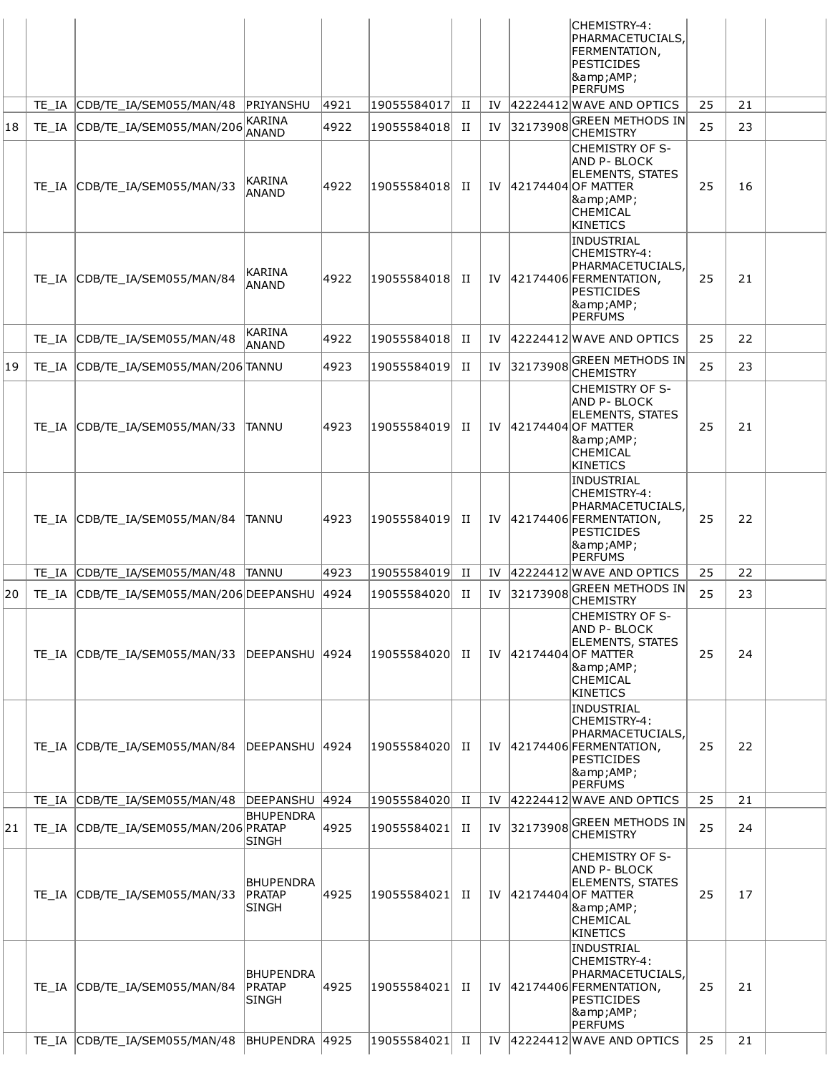|    |       |                                         |                                            |      |             |                      |     |          | CHEMISTRY-4:<br>PHARMACETUCIALS,<br>FERMENTATION,<br><b>PESTICIDES</b><br>&<br><b>PERFUMS</b>                                        |    |    |  |
|----|-------|-----------------------------------------|--------------------------------------------|------|-------------|----------------------|-----|----------|--------------------------------------------------------------------------------------------------------------------------------------|----|----|--|
|    |       | TE IA CDB/TE IA/SEM055/MAN/48           | PRIYANSHU<br><b>KARINA</b>                 | 4921 | 19055584017 | П                    | IV  |          | 42224412 WAVE AND OPTICS<br><b>GREEN METHODS IN</b>                                                                                  | 25 | 21 |  |
| 18 |       | TE_IA CDB/TE_IA/SEM055/MAN/206          | ANAND                                      | 4922 | 19055584018 | П                    | IV  | 32173908 | CHEMISTRY                                                                                                                            | 25 | 23 |  |
|    |       | TE IA CDB/TE IA/SEM055/MAN/33           | <b>KARINA</b><br>ANAND                     | 4922 | 19055584018 | П                    | IV  |          | <b>CHEMISTRY OF S-</b><br>AND P- BLOCK<br><b>ELEMENTS, STATES</b><br>42174404 OF MATTER<br>&<br>CHEMICAL<br>KINETICS                 | 25 | 16 |  |
|    |       | TE IA CDB/TE IA/SEM055/MAN/84           | KARINA<br>ANAND                            | 4922 | 19055584018 | П                    | IV  |          | INDUSTRIAL<br>CHEMISTRY-4:<br>PHARMACETUCIALS,<br>$ 42174406 $ FERMENTATION,<br>PESTICIDES<br>&<br><b>PERFUMS</b>                    | 25 | 21 |  |
|    | TE IA | CDB/TE_IA/SEM055/MAN/48                 | <b>KARINA</b><br>ANAND                     | 4922 | 19055584018 | П                    | IV  |          | 42224412 WAVE AND OPTICS                                                                                                             | 25 | 22 |  |
| 19 |       | TE IA CDB/TE IA/SEM055/MAN/206 TANNU    |                                            | 4923 | 19055584019 | П                    | IV  | 32173908 | GREEN METHODS IN<br><b>CHEMISTRY</b>                                                                                                 | 25 | 23 |  |
|    |       | TE_IA CDB/TE_IA/SEM055/MAN/33           | ITANNU                                     | 4923 | 19055584019 | П                    | IV  |          | <b>CHEMISTRY OF S-</b><br>AND P- BLOCK<br><b>ELEMENTS, STATES</b><br>42174404 OF MATTER<br>&<br>CHEMICAL<br><b>KINETICS</b>          | 25 | 21 |  |
|    |       | TE_IA CDB/TE_IA/SEM055/MAN/84           | TANNU                                      | 4923 | 19055584019 | П                    | IV  |          | <b>INDUSTRIAL</b><br>CHEMISTRY-4:<br>PHARMACETUCIALS,<br>$ 42174406 $ FERMENTATION,<br><b>PESTICIDES</b><br>&<br><b>PERFUMS</b>      | 25 | 22 |  |
|    |       | TE_IA CDB/TE_IA/SEM055/MAN/48           | <b>TANNU</b>                               | 4923 | 19055584019 | П                    | IV  |          | 42224412 WAVE AND OPTICS                                                                                                             | 25 | 22 |  |
| 20 |       | TE_IA CDB/TE_IA/SEM055/MAN/206DEEPANSHU |                                            | 4924 | 19055584020 | П                    | IV  | 32173908 | <b>GREEN METHODS IN</b><br><b>CHEMISTRY</b>                                                                                          | 25 | 23 |  |
|    |       | TE IA CDB/TE IA/SEM055/MAN/33           | DEEPANSHU 4924                             |      | 19055584020 | П                    |     |          | <b>CHEMISTRY OF S-</b><br><b>AND P-BLOCK</b><br><b>ELEMENTS, STATES</b><br>IV 42174404 OF MATTER<br>&<br>CHEMICAL<br><b>KINETICS</b> | 25 | 24 |  |
|    |       | TE IA CDB/TE IA/SEM055/MAN/84           | DEEPANSHU                                  | 4924 | 19055584020 | П                    | IV  |          | <b>INDUSTRIAL</b><br>CHEMISTRY-4:<br>PHARMACETUCIALS,<br>$ 42174406 $ FERMENTATION,<br><b>PESTICIDES</b><br>&<br>PERFUMS             | 25 | 22 |  |
|    | TE IA | CDB/TE_IA/SEM055/MAN/48                 | DEEPANSHU                                  | 4924 | 19055584020 | П                    | IV. |          | 42224412 WAVE AND OPTICS                                                                                                             | 25 | 21 |  |
| 21 |       | TE_IA CDB/TE_IA/SEM055/MAN/206 PRATAP   | <b>BHUPENDRA</b><br>SINGH                  | 4925 | 19055584021 | П                    | IV  | 32173908 | <b>GREEN METHODS IN</b><br>CHEMISTRY                                                                                                 | 25 | 24 |  |
|    |       | TE IA CDB/TE IA/SEM055/MAN/33           | <b>BHUPENDRA</b><br> PRATAP<br>SINGH       | 4925 | 19055584021 | П                    | IV  |          | <b>CHEMISTRY OF S-</b><br><b>AND P-BLOCK</b><br><b>ELEMENTS, STATES</b><br>42174404 OF MATTER<br>&<br><b>CHEMICAL</b><br>KINETICS    | 25 | 17 |  |
|    | TE IA | CDB/TE IA/SEM055/MAN/84                 | <b>BHUPENDRA</b><br>PRATAP<br><b>SINGH</b> | 4925 | 19055584021 | П                    | IV  |          | INDUSTRIAL<br>CHEMISTRY-4:<br>PHARMACETUCIALS,<br>42174406 FERMENTATION,<br><b>PESTICIDES</b><br>&<br><b>PERFUMS</b>                 | 25 | 21 |  |
|    | TE IA | CDB/TE_IA/SEM055/MAN/48                 | BHUPENDRA 4925                             |      | 19055584021 | $\scriptstyle\rm II$ | IV  |          | 42224412 WAVE AND OPTICS                                                                                                             | 25 | 21 |  |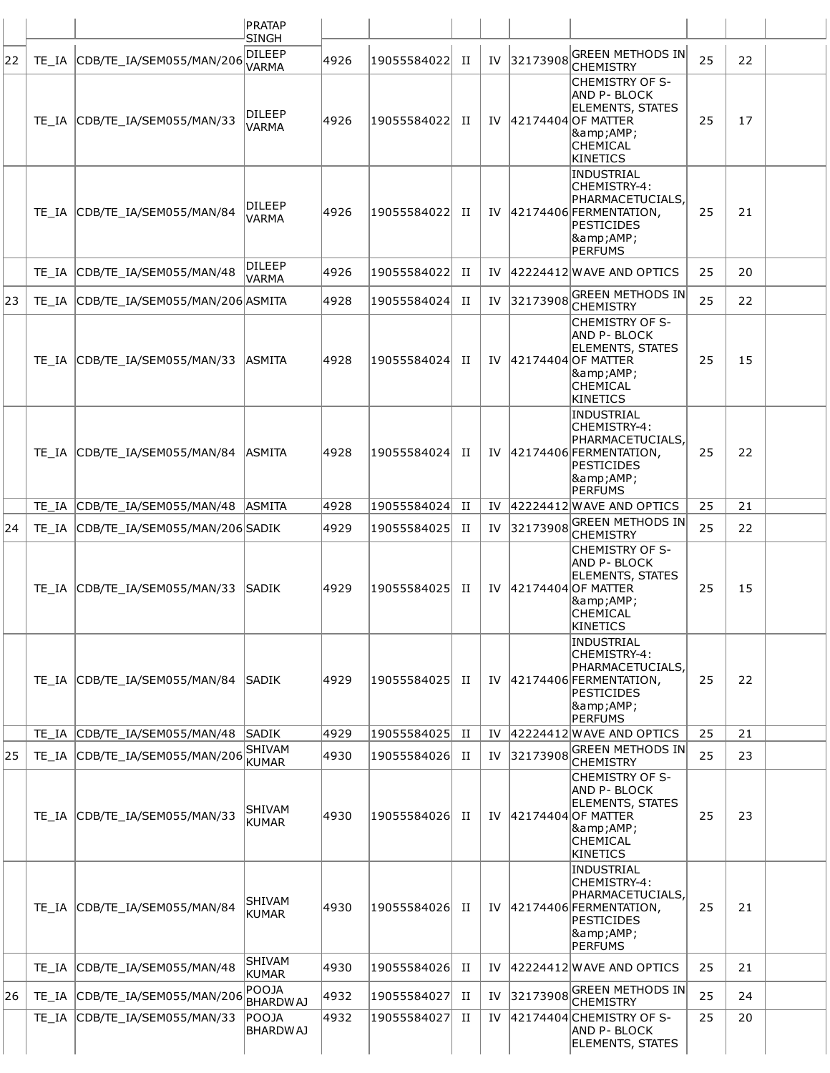|    |       |                                 | PRATAP                        |      |             |             |     |          |                                                                                                                                       |    |    |  |
|----|-------|---------------------------------|-------------------------------|------|-------------|-------------|-----|----------|---------------------------------------------------------------------------------------------------------------------------------------|----|----|--|
|    |       |                                 | <b>SINGH</b><br>DILEEP        |      |             |             |     |          | <b>GREEN METHODS IN</b>                                                                                                               |    |    |  |
| 22 |       | TE_IA CDB/TE_IA/SEM055/MAN/206  | VARMA                         | 4926 | 19055584022 | П           | IV  | 32173908 | <b>CHEMISTRY</b>                                                                                                                      | 25 | 22 |  |
|    |       | TE_IA CDB/TE_IA/SEM055/MAN/33   | DILEEP<br><b>VARMA</b>        | 4926 | 19055584022 | П           | IV  |          | <b>CHEMISTRY OF S-</b><br>AND P- BLOCK<br><b>ELEMENTS, STATES</b><br>42174404 OF MATTER<br>&<br><b>CHEMICAL</b><br><b>KINETICS</b>    | 25 | 17 |  |
|    |       | TE IA CDB/TE IA/SEM055/MAN/84   | <b>DILEEP</b><br>VARMA        | 4926 | 19055584022 | П           | IV  |          | <b>INDUSTRIAL</b><br>CHEMISTRY-4:<br>PHARMACETUCIALS,<br>$ 42174406 $ FERMENTATION,<br><b>PESTICIDES</b><br>&<br><b>PERFUMS</b>       | 25 | 21 |  |
|    |       | TE_IA CDB/TE_IA/SEM055/MAN/48   | DILEEP<br><b>VARMA</b>        | 4926 | 19055584022 | П           | IV  |          | $ 42224412 $ WAVE AND OPTICS                                                                                                          | 25 | 20 |  |
| 23 | TE IA | CDB/TE IA/SEM055/MAN/206 ASMITA |                               | 4928 | 19055584024 | П           | IV  | 32173908 | <b>GREEN METHODS IN</b><br><b>CHEMISTRY</b>                                                                                           | 25 | 22 |  |
|    |       | TE IA CDB/TE IA/SEM055/MAN/33   | <b>ASMITA</b>                 | 4928 | 19055584024 | П           |     |          | <b>CHEMISTRY OF S-</b><br><b>AND P-BLOCK</b><br><b>ELEMENTS, STATES</b><br>IV 42174404 OF MATTER<br>&<br><b>CHEMICAL</b><br>KINETICS  | 25 | 15 |  |
|    |       | TE IA CDB/TE IA/SEM055/MAN/84   | <b>ASMITA</b>                 | 4928 | 19055584024 | П           | IV  |          | <b>INDUSTRIAL</b><br>CHEMISTRY-4:<br>PHARMACETUCIALS.<br>$ 42174406 $ FERMENTATION,<br><b>PESTICIDES</b><br>&<br><b>PERFUMS</b>       | 25 | 22 |  |
|    |       | TE_IA CDB/TE_IA/SEM055/MAN/48   | <b>ASMITA</b>                 | 4928 | 19055584024 | П           | IV  |          | 42224412 WAVE AND OPTICS                                                                                                              | 25 | 21 |  |
| 24 | TE IA | CDB/TE_IA/SEM055/MAN/206 SADIK  |                               | 4929 | 19055584025 | П           | IV  | 32173908 | <b>GREEN METHODS IN</b><br><b>CHEMISTRY</b>                                                                                           | 25 | 22 |  |
|    |       | TE IA CDB/TE IA/SEM055/MAN/33   | <b>SADIK</b>                  | 4929 | 19055584025 | п           |     |          | <b>CHEMISTRY OF S-</b><br><b>AND P- BLOCK</b><br><b>ELEMENTS, STATES</b><br>IV 42174404 OF MATTER<br>&<br><b>CHEMICAL</b><br>KINETICS | 25 | 15 |  |
|    | TE IA | CDB/TE IA/SEM055/MAN/84         | SADIK                         | 4929 | 19055584025 | П           | IV  |          | INDUSTRIAL<br>CHEMISTRY-4:<br>PHARMACETUCIALS,<br>42174406 FERMENTATION,<br><b>PESTICIDES</b><br>&<br>PERFUMS                         | 25 | 22 |  |
|    |       | TE_IA CDB/TE_IA/SEM055/MAN/48   | SADIK                         | 4929 | 19055584025 | П           | IV. |          | 42224412 WAVE AND OPTICS                                                                                                              | 25 | 21 |  |
| 25 | TE IA | CDB/TE IA/SEM055/MAN/206        | <b>SHIVAM</b><br><b>KUMAR</b> | 4930 | 19055584026 | П           | IV  | 32173908 | GREEN METHODS IN<br><b>CHEMISTRY</b>                                                                                                  | 25 | 23 |  |
|    |       | TE_IA CDB/TE_IA/SEM055/MAN/33   | <b>SHIVAM</b><br>KUMAR        | 4930 | 19055584026 | П           | IV  |          | <b>CHEMISTRY OF S-</b><br>AND P- BLOCK<br><b>ELEMENTS, STATES</b><br>42174404 OF MATTER<br>&<br><b>CHEMICAL</b><br><b>KINETICS</b>    | 25 | 23 |  |
|    | TE IA | CDB/TE_IA/SEM055/MAN/84         | SHIVAM<br><b>KUMAR</b>        | 4930 | 19055584026 | П           | IV  |          | <b>INDUSTRIAL</b><br>CHEMISTRY-4:<br>PHARMACETUCIALS,<br>$ 42174406 $ FERMENTATION,<br><b>PESTICIDES</b><br>&<br><b>PERFUMS</b>       | 25 | 21 |  |
|    | TE IA | CDB/TE_IA/SEM055/MAN/48         | <b>SHIVAM</b><br>KUMAR        | 4930 | 19055584026 | П           | IV  |          | 42224412 WAVE AND OPTICS                                                                                                              | 25 | 21 |  |
| 26 | TE IA | CDB/TE_IA/SEM055/MAN/206        | POOJA<br><b>BHARDWAJ</b>      | 4932 | 19055584027 | $_{\rm II}$ | IV  | 32173908 | GREEN METHODS IN<br><b>CHEMISTRY</b>                                                                                                  | 25 | 24 |  |
|    | TE IA | CDB/TE_IA/SEM055/MAN/33         | POOJA<br><b>BHARDWAJ</b>      | 4932 | 19055584027 | П           | IV  |          | 42174404 CHEMISTRY OF S-<br>AND P-BLOCK<br><b>ELEMENTS, STATES</b>                                                                    | 25 | 20 |  |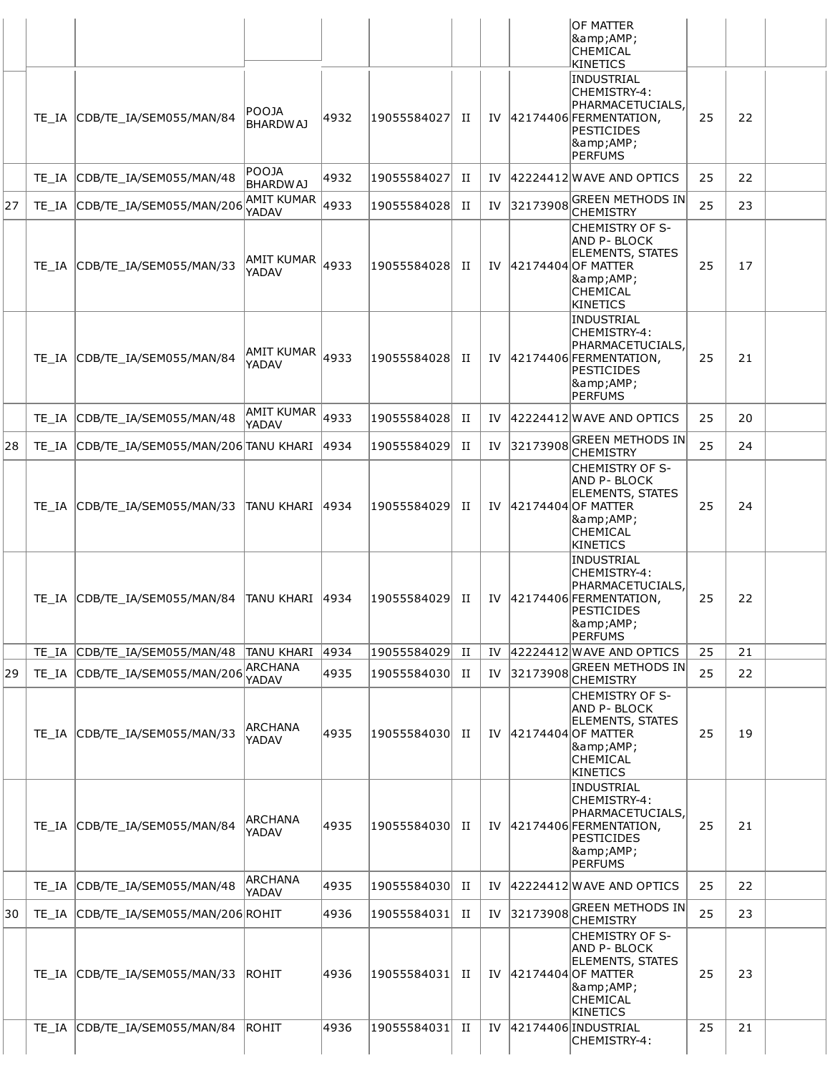|    |       |                                           |                            |      |             |             |    |          | OF MATTER<br> &<br><b>CHEMICAL</b><br>KINETICS                                                                                                    |    |    |  |
|----|-------|-------------------------------------------|----------------------------|------|-------------|-------------|----|----------|---------------------------------------------------------------------------------------------------------------------------------------------------|----|----|--|
|    |       | TE_IA CDB/TE_IA/SEM055/MAN/84             | POOJA<br><b>BHARDWAJ</b>   | 4932 | 19055584027 | П           | IV |          | INDUSTRIAL<br>CHEMISTRY-4:<br>PHARMACETUCIALS,<br>42174406 FERMENTATION,<br><b>PESTICIDES</b><br><b>&amp;AMP;</b><br>PERFUMS                      | 25 | 22 |  |
|    | TE IA | CDB/TE_IA/SEM055/MAN/48                   | POOJA<br><b>BHARDWAJ</b>   | 4932 | 19055584027 | П           | IV |          | 42224412 WAVE AND OPTICS                                                                                                                          | 25 | 22 |  |
| 27 |       | TE_IA CDB/TE_IA/SEM055/MAN/206            | <b>AMIT KUMAR</b><br>YADAV | 4933 | 19055584028 | П           | IV | 32173908 | GREEN METHODS IN<br><b>CHEMISTRY</b>                                                                                                              | 25 | 23 |  |
|    |       | TE_IA CDB/TE_IA/SEM055/MAN/33             | AMIT KUMAR<br>YADAV        | 4933 | 19055584028 | П           | IV |          | <b>CHEMISTRY OF S-</b><br><b>AND P- BLOCK</b><br><b>ELEMENTS, STATES</b><br>42174404 OF MATTER<br><b>&amp;AMP;</b><br><b>CHEMICAL</b><br>KINETICS | 25 | 17 |  |
|    |       | TE_IA CDB/TE_IA/SEM055/MAN/84             | <b>AMIT KUMAR</b><br>YADAV | 4933 | 19055584028 | П           | IV |          | INDUSTRIAL<br> CHEMISTRY-4:<br>PHARMACETUCIALS,<br>42174406 FERMENTATION,<br><b>PESTICIDES</b><br> &<br>PERFUMS                                   | 25 | 21 |  |
|    |       | TE_IA CDB/TE_IA/SEM055/MAN/48             | AMIT KUMAR<br>YADAV        | 4933 | 19055584028 | П           | IV |          | 42224412 WAVE AND OPTICS                                                                                                                          | 25 | 20 |  |
| 28 |       | TE_IA CDB/TE_IA/SEM055/MAN/206 TANU KHARI |                            | 4934 | 19055584029 | П           | IV | 32173908 | <b>GREEN METHODS IN</b><br><b>CHEMISTRY</b>                                                                                                       | 25 | 24 |  |
|    |       | TE IA CDB/TE IA/SEM055/MAN/33             | ITANU KHARI  4934          |      | 19055584029 | П           | IV |          | <b>CHEMISTRY OF S-</b><br>AND P- BLOCK<br><b>ELEMENTS, STATES</b><br>42174404 OF MATTER<br><b>&amp;AMP;</b><br><b>CHEMICAL</b><br>KINETICS        | 25 | 24 |  |
|    |       | TE IA CDB/TE IA/SEM055/MAN/84             | TANU KHARI 14934           |      | 19055584029 | П           | IV |          | INDUSTRIAL<br>CHEMISTRY-4:<br>PHARMACETUCIALS.<br>42174406 FERMENTATION,<br>PESTICIDES<br> &<br>PERFUMS                                           | 25 | 22 |  |
|    |       | TE_IA CDB/TE_IA/SEM055/MAN/48             | <b>TANU KHARI</b>          | 4934 | 19055584029 | $_{\rm II}$ | IV |          | 42224412 WAVE AND OPTICS                                                                                                                          | 25 | 21 |  |
| 29 | TE IA | CDB/TE IA/SEM055/MAN/206                  | <b>ARCHANA</b><br>YADAV    | 4935 | 19055584030 | П           | IV | 32173908 | <b>GREEN METHODS IN</b><br><b>CHEMISTRY</b>                                                                                                       | 25 | 22 |  |
|    |       | TE_IA CDB/TE_IA/SEM055/MAN/33             | ARCHANA<br>YADAV           | 4935 | 19055584030 | П           | IV |          | <b>CHEMISTRY OF S-</b><br><b>AND P- BLOCK</b><br><b>ELEMENTS, STATES</b><br>42174404 OF MATTER<br><b>&amp;AMP;</b><br><b>CHEMICAL</b><br>KINETICS | 25 | 19 |  |
|    |       | TE_IA CDB/TE_IA/SEM055/MAN/84             | ARCHANA<br>YADAV           | 4935 | 19055584030 | П           | IV |          | INDUSTRIAL<br>CHEMISTRY-4:<br> PHARMACETUCIALS,<br>42174406 FERMENTATION,<br>PESTICIDES<br> &<br>PERFUMS                                          | 25 | 21 |  |
|    | TE IA | CDB/TE_IA/SEM055/MAN/48                   | <b>ARCHANA</b><br>YADAV    | 4935 | 19055584030 | П           | IV |          | 42224412 WAVE AND OPTICS                                                                                                                          | 25 | 22 |  |
| 30 |       | TE_IA CDB/TE_IA/SEM055/MAN/206 ROHIT      |                            | 4936 | 19055584031 | П           | IV | 32173908 | GREEN METHODS IN<br><b>CHEMISTRY</b>                                                                                                              | 25 | 23 |  |
|    |       | TE_IA CDB/TE_IA/SEM055/MAN/33             | ROHIT                      | 4936 | 19055584031 | П           | IV |          | <b>CHEMISTRY OF S-</b><br>AND P- BLOCK<br><b>ELEMENTS, STATES</b><br>42174404 OF MATTER<br>&<br><b>CHEMICAL</b><br>KINETICS                       | 25 | 23 |  |
|    | TE IA | CDB/TE IA/SEM055/MAN/84                   | <b>ROHIT</b>               | 4936 | 19055584031 | П           | IV |          | 42174406 INDUSTRIAL<br>CHEMISTRY-4:                                                                                                               | 25 | 21 |  |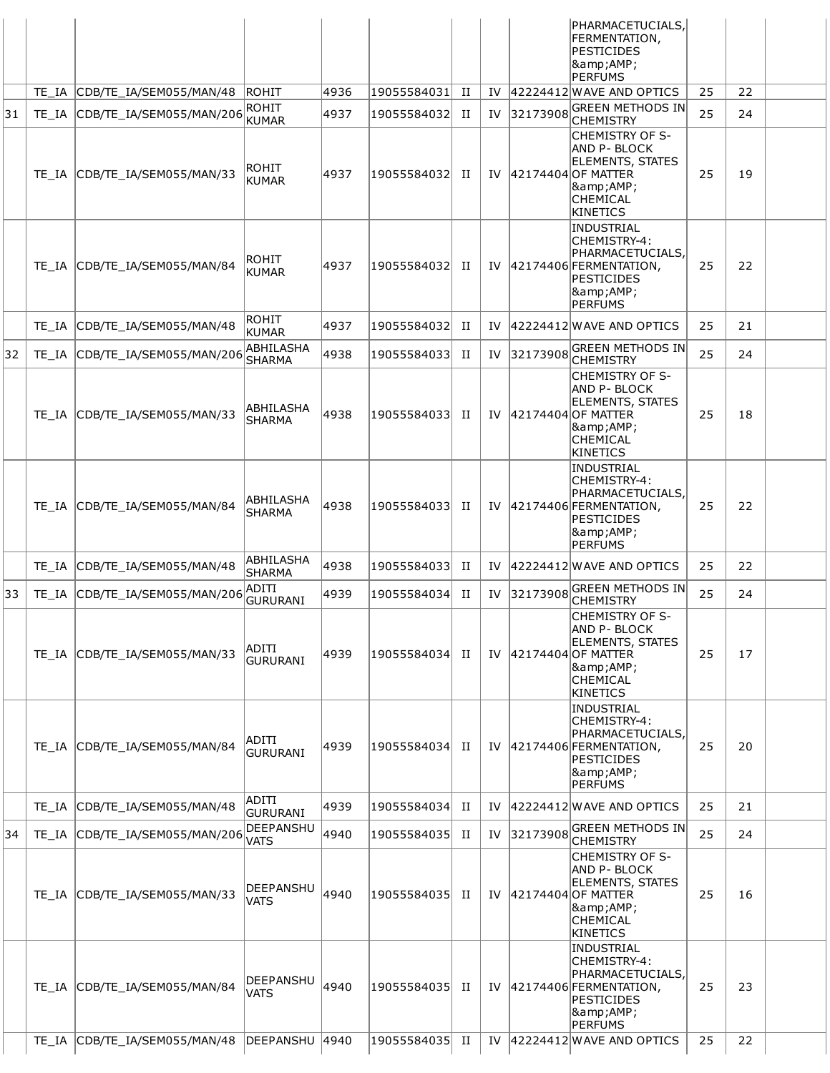|    |       |                               |                                 |      |             |             |    |          | PHARMACETUCIALS,<br>FERMENTATION,<br>PESTICIDES<br>&<br><b>PERFUMS</b>                                                                    |    |    |  |
|----|-------|-------------------------------|---------------------------------|------|-------------|-------------|----|----------|-------------------------------------------------------------------------------------------------------------------------------------------|----|----|--|
|    |       | TE_IA CDB/TE_IA/SEM055/MAN/48 | ROHIT                           | 4936 | 19055584031 | П           | IV |          | 42224412 WAVE AND OPTICS                                                                                                                  | 25 | 22 |  |
| 31 | TE IA | CDB/TE_IA/SEM055/MAN/206      | <b>ROHIT</b><br><b>KUMAR</b>    | 4937 | 19055584032 | П           | IV | 32173908 | GREEN METHODS IN<br>CHEMISTRY                                                                                                             | 25 | 24 |  |
|    |       | TE_IA CDB/TE_IA/SEM055/MAN/33 | ROHIT<br><b>KUMAR</b>           | 4937 | 19055584032 | П           | IV |          | <b>CHEMISTRY OF S-</b><br>AND P-BLOCK<br><b>ELEMENTS, STATES</b><br>42174404 OF MATTER<br>&<br>CHEMICAL<br><b>KINETICS</b>                | 25 | 19 |  |
|    |       | TE_IA CDB/TE_IA/SEM055/MAN/84 | ROHIT<br><b>KUMAR</b>           | 4937 | 19055584032 | П           | IV |          | INDUSTRIAL<br>CHEMISTRY-4:<br>PHARMACETUCIALS,<br>42174406 FERMENTATION,<br>PESTICIDES<br>&<br><b>PERFUMS</b>                             | 25 | 22 |  |
|    | TE IA | CDB/TE_IA/SEM055/MAN/48       | <b>ROHIT</b><br><b>KUMAR</b>    | 4937 | 19055584032 | П           | IV |          | 42224412 WAVE AND OPTICS                                                                                                                  | 25 | 21 |  |
| 32 | TE IA | CDB/TE IA/SEM055/MAN/206      | ABHILASHA<br><b>SHARMA</b>      | 4938 | 19055584033 | П           | IV | 32173908 | GREEN METHODS IN<br><b>CHEMISTRY</b>                                                                                                      | 25 | 24 |  |
|    |       | TE_IA CDB/TE_IA/SEM055/MAN/33 | ABHILASHA<br><b>SHARMA</b>      | 4938 | 19055584033 | П           | IV |          | CHEMISTRY OF S-<br>AND P- BLOCK<br><b>ELEMENTS, STATES</b><br>42174404 OF MATTER<br>&<br>CHEMICAL<br><b>KINETICS</b>                      | 25 | 18 |  |
|    |       | TE_IA CDB/TE_IA/SEM055/MAN/84 | ABHILASHA<br><b>SHARMA</b>      | 4938 | 19055584033 | П           | IV |          | <b>INDUSTRIAL</b><br>CHEMISTRY-4:<br>PHARMACETUCIALS,<br>$ 42174406 $ FERMENTATION,<br><b>PESTICIDES</b><br>&<br><b>PERFUMS</b>           | 25 | 22 |  |
|    | TE IA | CDB/TE_IA/SEM055/MAN/48       | ABHILASHA<br><b>SHARMA</b>      | 4938 | 19055584033 | П           | IV |          | 42224412 WAVE AND OPTICS                                                                                                                  | 25 | 22 |  |
| 33 | TE IA | CDB/TE_IA/SEM055/MAN/206      | ADITI<br>GURURANI               | 4939 | 19055584034 | П           | IV | 32173908 | GREEN METHODS IN<br><b>CHEMISTRY</b>                                                                                                      | 25 | 24 |  |
|    |       | TE_IA CDB/TE_IA/SEM055/MAN/33 | <b>ADITI</b><br><b>GURURANI</b> | 4939 | 19055584034 | П           |    |          | <b>CHEMISTRY OF S-</b><br><b>AND P- BLOCK</b><br><b>ELEMENTS, STATES</b><br>IV   42174404   OF MATTER<br>&<br>CHEMICAL<br><b>KINETICS</b> | 25 | 17 |  |
|    |       | TE_IA CDB/TE_IA/SEM055/MAN/84 | ADITI<br><b>GURURANI</b>        | 4939 | 19055584034 | П           | IV |          | <b>INDUSTRIAL</b><br>CHEMISTRY-4:<br>PHARMACETUCIALS,<br>42174406 FERMENTATION,<br><b>PESTICIDES</b><br>&<br><b>PERFUMS</b>               | 25 | 20 |  |
|    | TE IA | CDB/TE_IA/SEM055/MAN/48       | ADITI<br>GURURANI               | 4939 | 19055584034 | П           | IV |          | 42224412 WAVE AND OPTICS                                                                                                                  | 25 | 21 |  |
| 34 | TE IA | CDB/TE_IA/SEM055/MAN/206      | DEEPANSHU<br>VATS               | 4940 | 19055584035 | П           | IV | 32173908 | GREEN METHODS IN<br>CHEMISTRY                                                                                                             | 25 | 24 |  |
|    | TE IA | CDB/TE_IA/SEM055/MAN/33       | DEEPANSHU<br>VATS               | 4940 | 19055584035 | П           | IV |          | CHEMISTRY OF S-<br>AND P- BLOCK<br><b>ELEMENTS, STATES</b><br>42174404 OF MATTER<br>&<br>CHEMICAL<br>KINETICS                             | 25 | 16 |  |
|    |       | TE_IA CDB/TE_IA/SEM055/MAN/84 | DEEPANSHU<br><b>VATS</b>        | 4940 | 19055584035 | П           | IV |          | <b>INDUSTRIAL</b><br>CHEMISTRY-4:<br>PHARMACETUCIALS,<br>42174406 FERMENTATION,<br><b>PESTICIDES</b><br>&<br><b>PERFUMS</b>               | 25 | 23 |  |
|    | TE IA | CDB/TE_IA/SEM055/MAN/48       | DEEPANSHU                       | 4940 | 19055584035 | $_{\rm II}$ | IV |          | $ 42224412 $ WAVE AND OPTICS                                                                                                              | 25 | 22 |  |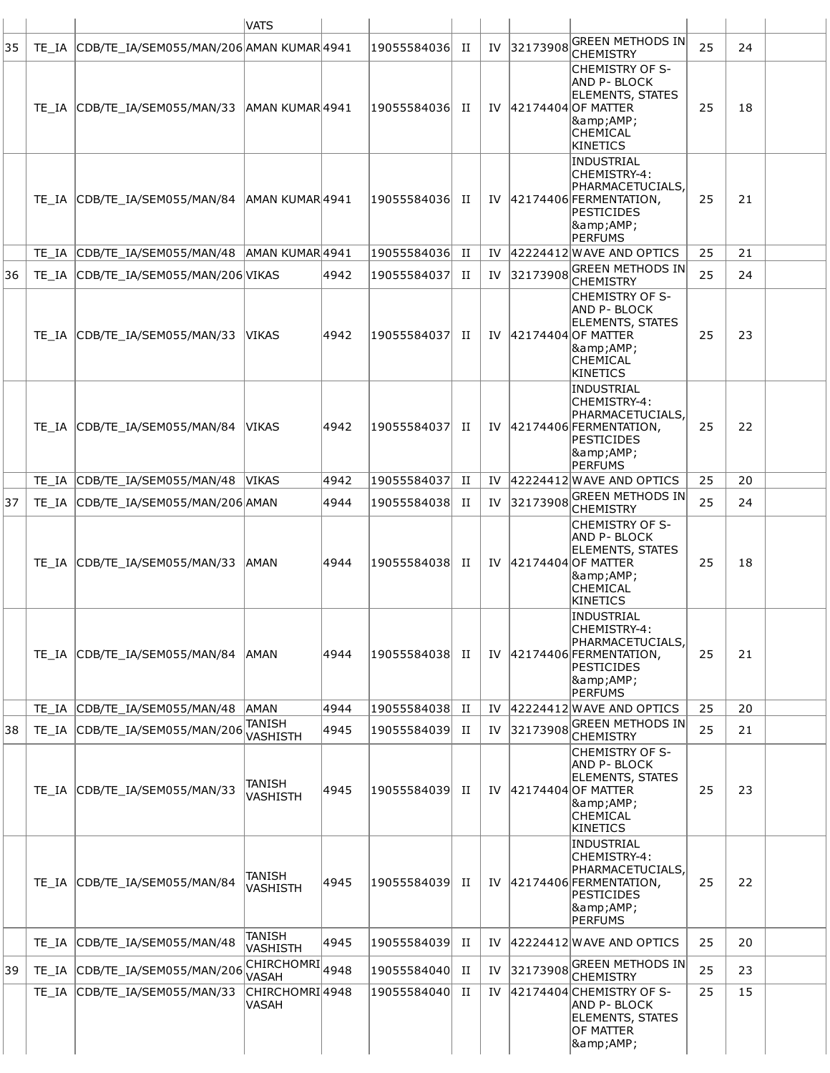|    |       |                                                | <b>VATS</b>                                    |      |                 |             |    |             |                                                                                                                                                |    |    |  |
|----|-------|------------------------------------------------|------------------------------------------------|------|-----------------|-------------|----|-------------|------------------------------------------------------------------------------------------------------------------------------------------------|----|----|--|
| 35 |       | TE IA CDB/TE IA/SEM055/MAN/206 AMAN KUMAR 4941 |                                                |      | 19055584036  II |             |    | IV 32173908 | <b>GREEN METHODS IN</b><br><b>CHEMISTRY</b>                                                                                                    | 25 | 24 |  |
|    |       | TE IA CDB/TE IA/SEM055/MAN/33 AMAN KUMAR 4941  |                                                |      | 19055584036     | П           |    |             | CHEMISTRY OF S-<br>AND P- BLOCK<br><b>ELEMENTS, STATES</b><br>IV 42174404 OF MATTER<br><b>&amp;AMP;</b><br>CHEMICAL<br>KINETICS                | 25 | 18 |  |
|    |       | TE_IA CDB/TE_IA/SEM055/MAN/84                  | AMAN KUMAR 4941                                |      | 19055584036     | H           |    |             | INDUSTRIAL<br>CHEMISTRY-4:<br>PHARMACETUCIALS,<br>IV 42174406 FERMENTATION,<br>PESTICIDES<br> &<br>PERFUMS                                     | 25 | 21 |  |
|    |       | TE_IA CDB/TE_IA/SEM055/MAN/48 AMAN KUMAR4941   |                                                |      | 19055584036     | П           | IV |             | 42224412 WAVE AND OPTICS                                                                                                                       | 25 | 21 |  |
| 36 |       | TE_IA CDB/TE_IA/SEM055/MAN/206 VIKAS           |                                                | 4942 | 19055584037     | П           | IV | 32173908    | <b>GREEN METHODS IN</b><br><b>CHEMISTRY</b>                                                                                                    | 25 | 24 |  |
|    |       | TE_IA CDB/TE_IA/SEM055/MAN/33                  | <b>VIKAS</b>                                   | 4942 | 19055584037     | П           |    |             | ICHEMISTRY OF S-<br><b>AND P-BLOCK</b><br><b>ELEMENTS, STATES</b><br>IV 42174404 OF MATTER<br><b>&amp;AMP;</b><br>CHEMICAL<br>KINETICS         | 25 | 23 |  |
|    |       | TE_IA CDB/TE_IA/SEM055/MAN/84                  | <b>VIKAS</b>                                   | 4942 | 19055584037     | п           |    |             | INDUSTRIAL<br>CHEMISTRY-4:<br>PHARMACETUCIALS,<br>IV 42174406 FERMENTATION,<br>PESTICIDES<br> &<br>PERFUMS                                     | 25 | 22 |  |
|    |       | TE_IA CDB/TE_IA/SEM055/MAN/48                  | <b>VIKAS</b>                                   | 4942 | 19055584037     | П           | IV |             | 42224412 WAVE AND OPTICS                                                                                                                       | 25 | 20 |  |
| 37 |       | TE_IA CDB/TE_IA/SEM055/MAN/206 AMAN            |                                                | 4944 | 19055584038     | H           | IV | 32173908    | <b>GREEN METHODS IN</b><br><b>CHEMISTRY</b>                                                                                                    | 25 | 24 |  |
|    |       | TE_IA CDB/TE_IA/SEM055/MAN/33                  | <b>AMAN</b>                                    | 4944 | 19055584038     | П           |    |             | ICHEMISTRY OF S-<br><b>AND P- BLOCK</b><br><b>ELEMENTS, STATES</b><br>IV 42174404 OF MATTER<br><b>&amp;AMP;</b><br><b>CHEMICAL</b><br>KINETICS | 25 | 18 |  |
|    |       | TE_IA CDB/TE_IA/SEM055/MAN/84                  | <b>AMAN</b>                                    | 4944 | 19055584038     | H           |    |             | INDUSTRIAL<br> CHEMISTRY-4:<br>PHARMACETUCIALS,<br>IV 42174406 FERMENTATION,<br>PESTICIDES<br>8amp;AMP;<br>PERFUMS                             | 25 | 21 |  |
|    | TE IA | CDB/TE IA/SEM055/MAN/48                        | AMAN                                           | 4944 | 19055584038     | $_{\rm II}$ | IV |             | 42224412 WAVE AND OPTICS                                                                                                                       | 25 | 20 |  |
| 38 |       | TE_IA CDB/TE_IA/SEM055/MAN/206                 | TANISH<br>VASHISTH                             | 4945 | 19055584039     | п           | IV | 32173908    | <b>GREEN METHODS IN</b><br><b>CHEMISTRY</b>                                                                                                    | 25 | 21 |  |
|    |       | TE_IA CDB/TE_IA/SEM055/MAN/33                  | TANISH<br><b>VASHISTH</b>                      | 4945 | 19055584039     | П           | IV |             | <b>CHEMISTRY OF S-</b><br><b>AND P- BLOCK</b><br><b>ELEMENTS, STATES</b><br>42174404 OF MATTER<br> &<br><b>CHEMICAL</b><br>KINETICS            | 25 | 23 |  |
|    |       | TE_IA CDB/TE_IA/SEM055/MAN/84                  | TANISH<br><b>VASHISTH</b>                      | 4945 | 19055584039     | П           | IV |             | INDUSTRIAL<br>CHEMISTRY-4:<br>PHARMACETUCIALS,<br>$ 42174406 $ FERMENTATION,<br>PESTICIDES<br> &<br>PERFUMS                                    | 25 | 22 |  |
|    |       | TE_IA CDB/TE_IA/SEM055/MAN/48                  | TANISH<br><b>VASHISTH</b>                      | 4945 | 19055584039     | П           | IV |             | 42224412 WAVE AND OPTICS                                                                                                                       | 25 | 20 |  |
| 39 |       | TE_IA CDB/TE_IA/SEM055/MAN/206                 | $\overline{\text{CHIRCHOMRI}}_{4948}$<br>VASAH |      | 19055584040     | П           | IV | 32173908    | GREEN METHODS IN<br><b>CHEMISTRY</b>                                                                                                           | 25 | 23 |  |
|    | TE IA | CDB/TE_IA/SEM055/MAN/33                        | CHIRCHOMRI4948<br>VASAH                        |      | 19055584040     | П           | IV |             | 42174404 CHEMISTRY OF S-<br><b>AND P- BLOCK</b><br><b>ELEMENTS, STATES</b><br>OF MATTER<br><b>&amp;AMP;</b>                                    | 25 | 15 |  |